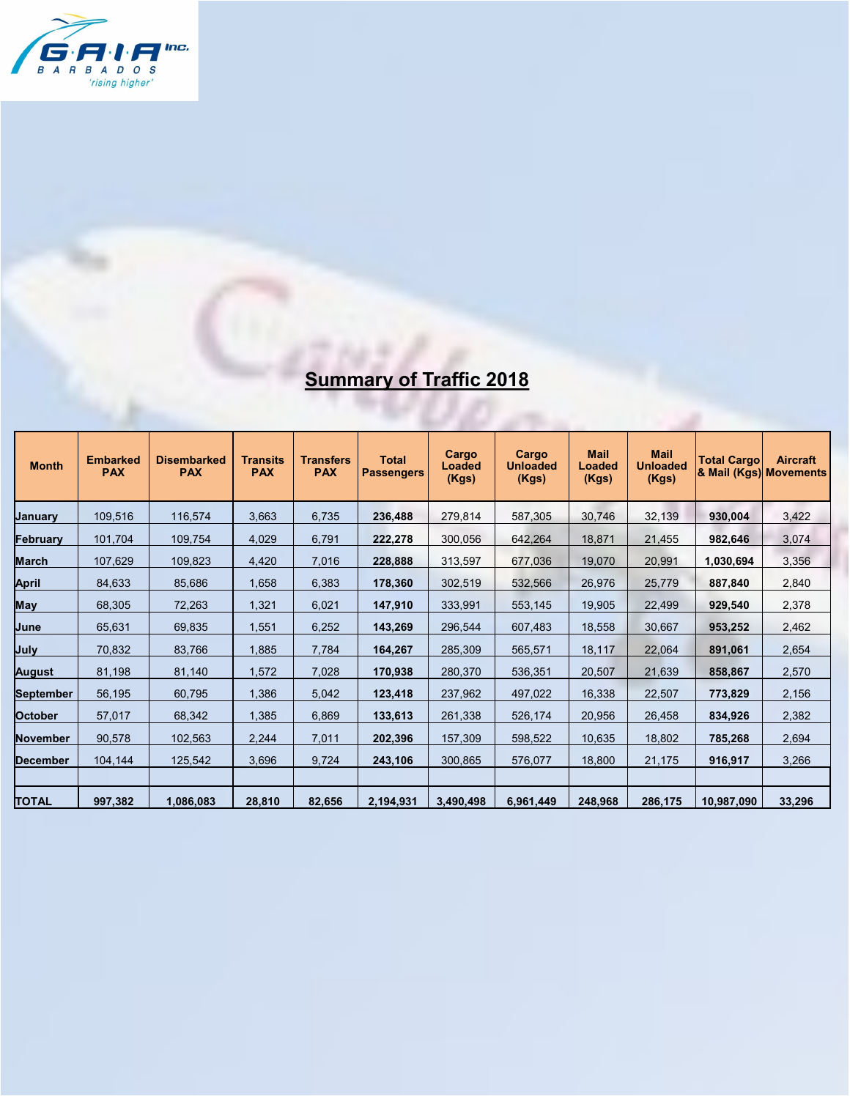

## **Summary of Traffic 2018**

| <b>Month</b>   | <b>Embarked</b><br><b>PAX</b> | <b>Disembarked</b><br><b>PAX</b> | <b>Transits</b><br><b>PAX</b> | <b>Transfers</b><br><b>PAX</b> | <b>Total</b><br><b>Passengers</b> | Cargo<br><b>Loaded</b><br>(Kgs) | Cargo<br><b>Unloaded</b><br>(Kgs) | <b>Mail</b><br>Loaded<br>(Kgs) | <b>Mail</b><br><b>Unloaded</b><br>(Kgs) | <b>Total Cargo</b><br>& Mail (Kgs) Movements | <b>Aircraft</b> |
|----------------|-------------------------------|----------------------------------|-------------------------------|--------------------------------|-----------------------------------|---------------------------------|-----------------------------------|--------------------------------|-----------------------------------------|----------------------------------------------|-----------------|
| January        | 109,516                       | 116,574                          | 3,663                         | 6,735                          | 236.488                           | 279,814                         | 587,305                           | 30,746                         | 32,139                                  | 930,004                                      | 3,422           |
| Februarv       | 101,704                       | 109,754                          | 4,029                         | 6,791                          | 222,278                           | 300,056                         | 642,264                           | 18,871                         | 21,455                                  | 982,646                                      | 3,074           |
| March          | 107,629                       | 109,823                          | 4,420                         | 7,016                          | 228,888                           | 313,597                         | 677,036                           | 19,070                         | 20,991                                  | 1,030,694                                    | 3,356           |
| April          | 84,633                        | 85,686                           | 1,658                         | 6,383                          | 178,360                           | 302,519                         | 532,566                           | 26,976                         | 25,779                                  | 887,840                                      | 2,840           |
| May            | 68,305                        | 72,263                           | 1,321                         | 6,021                          | 147,910                           | 333,991                         | 553,145                           | 19,905                         | 22,499                                  | 929,540                                      | 2,378           |
| June           | 65,631                        | 69,835                           | 1,551                         | 6,252                          | 143,269                           | 296,544                         | 607,483                           | 18,558                         | 30,667                                  | 953,252                                      | 2,462           |
| July           | 70,832                        | 83,766                           | 1,885                         | 7,784                          | 164,267                           | 285,309                         | 565,571                           | 18,117                         | 22,064                                  | 891,061                                      | 2,654           |
| August         | 81,198                        | 81,140                           | 1,572                         | 7,028                          | 170,938                           | 280,370                         | 536,351                           | 20,507                         | 21,639                                  | 858,867                                      | 2,570           |
| September      | 56,195                        | 60,795                           | 1,386                         | 5,042                          | 123,418                           | 237,962                         | 497,022                           | 16,338                         | 22,507                                  | 773,829                                      | 2,156           |
| <b>October</b> | 57,017                        | 68,342                           | 1,385                         | 6,869                          | 133,613                           | 261,338                         | 526,174                           | 20,956                         | 26,458                                  | 834,926                                      | 2,382           |
| November       | 90,578                        | 102,563                          | 2,244                         | 7,011                          | 202,396                           | 157,309                         | 598,522                           | 10,635                         | 18,802                                  | 785,268                                      | 2,694           |
| December       | 104,144                       | 125,542                          | 3,696                         | 9,724                          | 243,106                           | 300,865                         | 576,077                           | 18.800                         | 21,175                                  | 916,917                                      | 3,266           |
|                |                               |                                  |                               |                                |                                   |                                 |                                   |                                |                                         |                                              |                 |
| <b>TOTAL</b>   | 997,382                       | 1,086,083                        | 28,810                        | 82,656                         | 2,194,931                         | 3,490,498                       | 6,961,449                         | 248,968                        | 286,175                                 | 10,987,090                                   | 33,296          |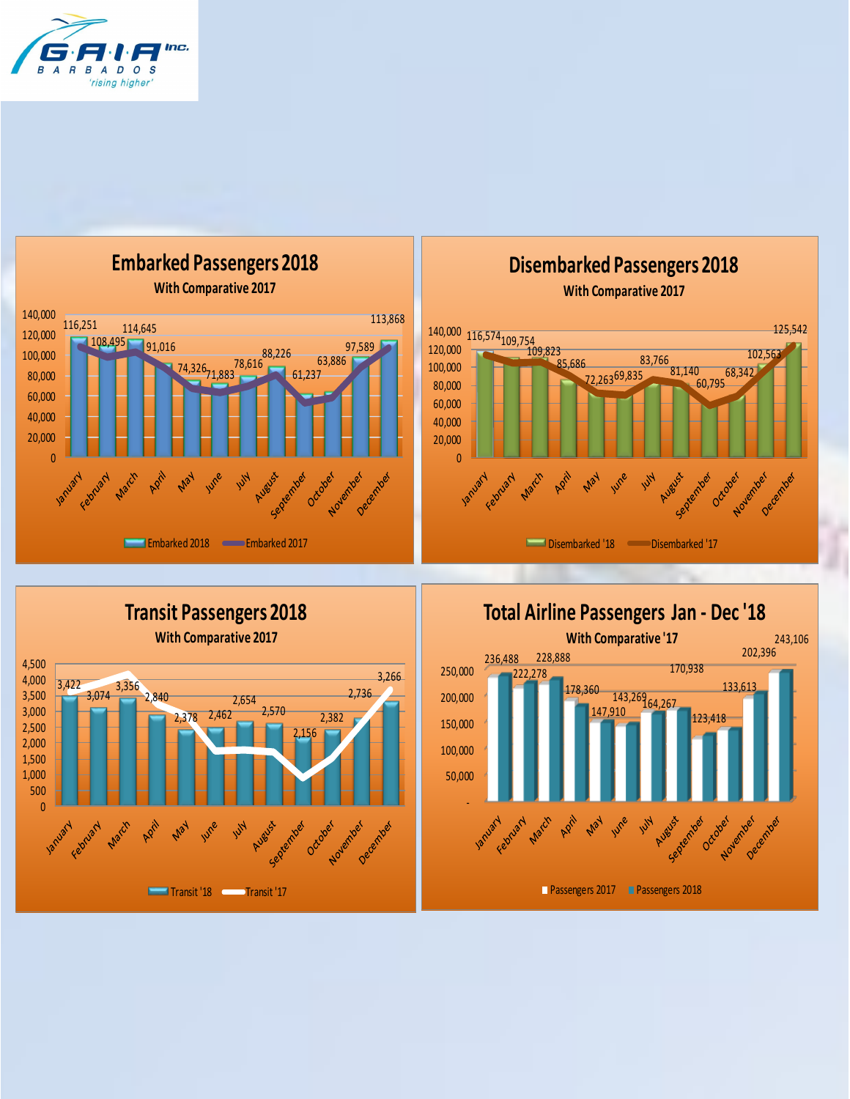